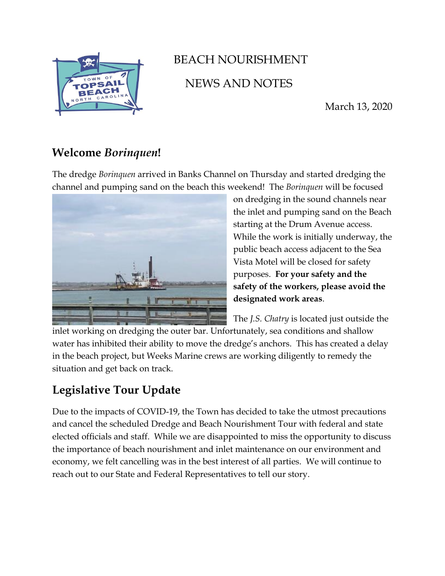

## BEACH NOURISHMENT NEWS AND NOTES

March 13, 2020

## **Welcome** *Borinquen***!**

The dredge *Borinquen* arrived in Banks Channel on Thursday and started dredging the channel and pumping sand on the beach this weekend! The *Borinquen* will be focused



on dredging in the sound channels near the inlet and pumping sand on the Beach starting at the Drum Avenue access. While the work is initially underway, the public beach access adjacent to the Sea Vista Motel will be closed for safety purposes. **For your safety and the safety of the workers, please avoid the designated work areas**.

The *J.S. Chatry* is located just outside the inlet working on dredging the outer bar. Unfortunately, sea conditions and shallow water has inhibited their ability to move the dredge's anchors. This has created a delay in the beach project, but Weeks Marine crews are working diligently to remedy the situation and get back on track.

## **Legislative Tour Update**

Due to the impacts of COVID-19, the Town has decided to take the utmost precautions and cancel the scheduled Dredge and Beach Nourishment Tour with federal and state elected officials and staff. While we are disappointed to miss the opportunity to discuss the importance of beach nourishment and inlet maintenance on our environment and economy, we felt cancelling was in the best interest of all parties. We will continue to reach out to our State and Federal Representatives to tell our story.